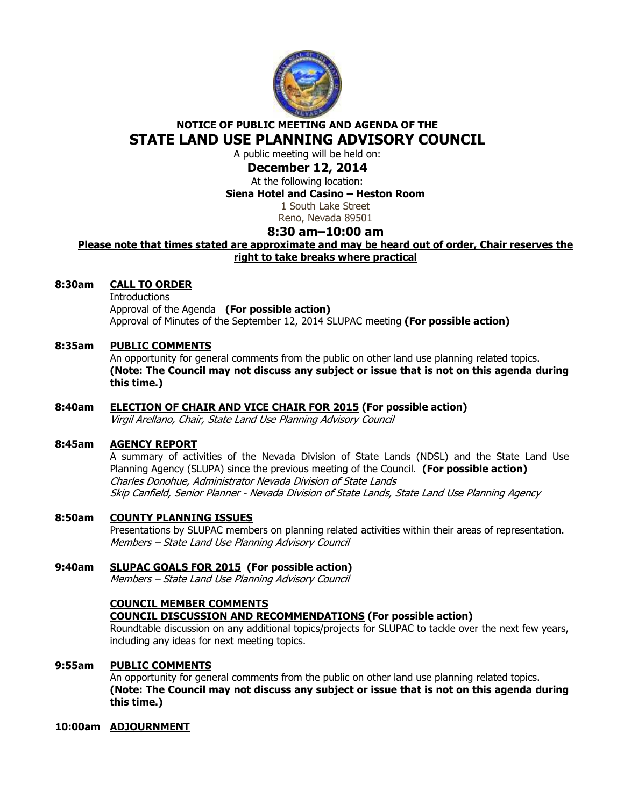

# **NOTICE OF PUBLIC MEETING AND AGENDA OF THE STATE LAND USE PLANNING ADVISORY COUNCIL**

A public meeting will be held on:

## **December 12, 2014**

At the following location: **Siena Hotel and Casino – Heston Room** 

1 South Lake Street

Reno, Nevada 89501

## **8:30 am–10:00 am**

### **Please note that times stated are approximate and may be heard out of order, Chair reserves the right to take breaks where practical**

## **8:30am CALL TO ORDER**

**Introductions**  Approval of the Agenda **(For possible action)** Approval of Minutes of the September 12, 2014 SLUPAC meeting **(For possible action)** 

## **8:35am PUBLIC COMMENTS**

An opportunity for general comments from the public on other land use planning related topics. **(Note: The Council may not discuss any subject or issue that is not on this agenda during this time.)** 

# **8:40am ELECTION OF CHAIR AND VICE CHAIR FOR 2015 (For possible action)**

Virgil Arellano, Chair, State Land Use Planning Advisory Council

#### **8:45am AGENCY REPORT**

A summary of activities of the Nevada Division of State Lands (NDSL) and the State Land Use Planning Agency (SLUPA) since the previous meeting of the Council. **(For possible action)** Charles Donohue, Administrator Nevada Division of State Lands Skip Canfield, Senior Planner - Nevada Division of State Lands, State Land Use Planning Agency

#### **8:50am COUNTY PLANNING ISSUES**

Presentations by SLUPAC members on planning related activities within their areas of representation. Members – State Land Use Planning Advisory Council

**9:40am SLUPAC GOALS FOR 2015 (For possible action)**  Members – State Land Use Planning Advisory Council

#### **COUNCIL MEMBER COMMENTS COUNCIL DISCUSSION AND RECOMMENDATIONS (For possible action)**

Roundtable discussion on any additional topics/projects for SLUPAC to tackle over the next few years, including any ideas for next meeting topics.

#### **9:55am PUBLIC COMMENTS**

An opportunity for general comments from the public on other land use planning related topics. **(Note: The Council may not discuss any subject or issue that is not on this agenda during this time.)** 

#### **10:00am ADJOURNMENT**